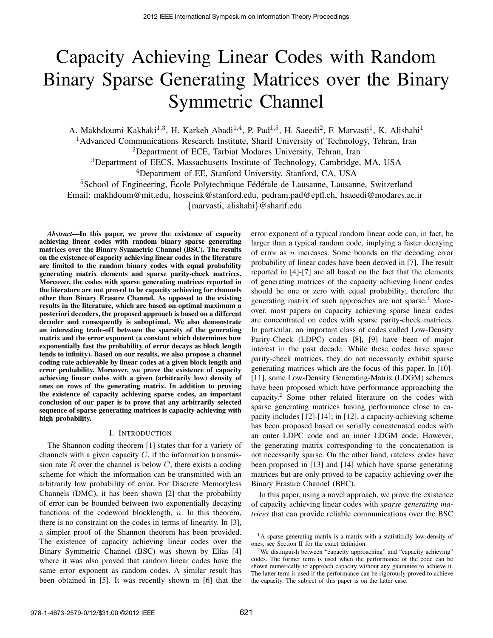# Capacity Achieving Linear Codes with Random Binary Sparse Generating Matrices over the Binary Symmetric Channel

A. Makhdoumi Kakhaki<sup>1,3</sup>, H. Karkeh Abadi<sup>1,4</sup>, P. Pad<sup>1,5</sup>, H. Saeedi<sup>2</sup>, F. Marvasti<sup>1</sup>, K. Alishahi<sup>1</sup> <sup>1</sup>Advanced Communications Research Institute, Sharif University of Technology, Tehran, Iran Department of ECE, Tarbiat Modares University, Tehran, Iran Department of EECS, Massachusetts Institute of Technology, Cambridge, MA, USA Department of EE, Stanford University, Stanford, CA, USA School of Engineering, École Polytechnique Fédérale de Lausanne, Lausanne, Switzerland

Email: makhdoum@mit.edu, hosseink@stanford.edu, pedram.pad@epfl.ch, hsaeedi@modares.ac.ir

{marvasti, alishahi}@sharif.edu

*Abstract*—In this paper, we prove the existence of capacity achieving linear codes with random binary sparse generating matrices over the Binary Symmetric Channel (BSC). The results on the existence of capacity achieving linear codes in the literature are limited to the random binary codes with equal probability generating matrix elements and sparse parity-check matrices. Moreover, the codes with sparse generating matrices reported in the literature are not proved to be capacity achieving for channels other than Binary Erasure Channel. As opposed to the existing results in the literature, which are based on optimal maximum a posteriori decoders, the proposed approach is based on a different decoder and consequently is suboptimal. We also demonstrate an interesting trade-off between the sparsity of the generating matrix and the error exponent (a constant which determines how exponentially fast the probability of error decays as block length tends to infinity). Based on our results, we also propose a channel coding rate achievable by linear codes at a given block length and error probability. Moreover, we prove the existence of capacity achieving linear codes with a given (arbitrarily low) density of ones on rows of the generating matrix. In addition to proving the existence of capacity achieving sparse codes, an important conclusion of our paper is to prove that any arbitrarily selected sequence of sparse generating matrices is capacity achieving with high probability.

#### I. INTRODUCTION

The Shannon coding theorem [1] states that for a variety of channels with a given capacity  $C$ , if the information transmission rate  $R$  over the channel is below  $C$ , there exists a coding scheme for which the information can be transmitted with an arbitrarily low probability of error. For Discrete Memoryless Channels (DMC), it has been shown [2] that the probability of error can be bounded between two exponentially decaying functions of the codeword blocklength,  $n$ . In this theorem, there is no constraint on the codes in terms of linearity. In [3], a simpler proof of the Shannon theorem has been provided. The existence of capacity achieving linear codes over the Binary Symmetric Channel (BSC) was shown by Elias [4] where it was also proved that random linear codes have the same error exponent as random codes. A similar result has been obtained in [5]. It was recently shown in [6] that the

error exponent of a typical random linear code can, in fact, be larger than a typical random code, implying a faster decaying of error as  $n$  increases. Some bounds on the decoding error probability of linear codes have been derived in [7]. The result reported in [4]-[7] are all based on the fact that the elements of generating matrices of the capacity achieving linear codes should be one or zero with equal probability; therefore the generating matrix of such approaches are not sparse.<sup>1</sup> Moreover, most papers on capacity achieving sparse linear codes are concentrated on codes with sparse parity-check matrices. In particular, an important class of codes called Low-Density Parity-Check (LDPC) codes [8], [9] have been of major interest in the past decade. While these codes have sparse parity-check matrices, they do not necessarily exhibit sparse generating matrices which are the focus of this paper. In [10]- [11], some Low-Density Generating-Matrix (LDGM) schemes have been proposed which have performance approaching the capacity.2 Some other related literature on the codes with sparse generating matrices having performance close to capacity includes [12]-[14]; in [12], a capacity-achieving scheme has been proposed based on serially concatenated codes with an outer LDPC code and an inner LDGM code. However, the generating matrix corresponding to the concatenation is not necessarily sparse. On the other hand, rateless codes have been proposed in [13] and [14] which have sparse generating matrices but are only proved to be capacity achieving over the Binary Erasure Channel (BEC).

In this paper, using a novel approach, we prove the existence of capacity achieving linear codes with *sparse generating matrices* that can provide reliable communications over the BSC

<sup>&</sup>lt;sup>1</sup>A sparse generating matrix is a matrix with a statistically low density of ones, see Section II for the exact definition.

<sup>&</sup>lt;sup>2</sup>We distinguish between "capacity approaching" and "capacity achieving" codes. The former term is used when the performance of the code can be shown numerically to approach capacity without any guarantee to achieve it. The latter term is used if the performance can be rigorously proved to achieve the capacity. The subject of this paper is on the latter case.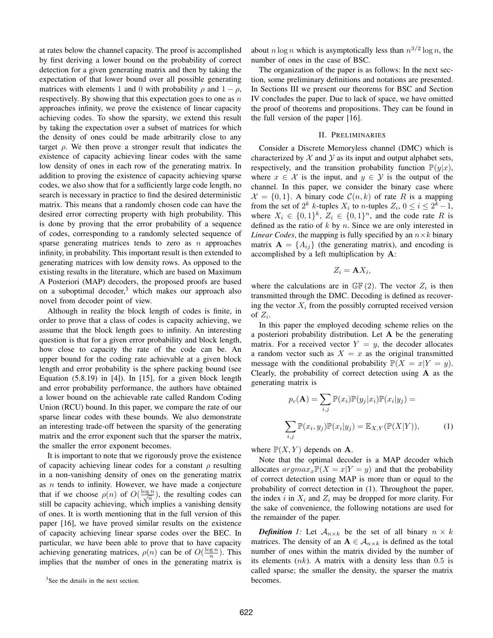at rates below the channel capacity. The proof is accomplished by first deriving a lower bound on the probability of correct detection for a given generating matrix and then by taking the expectation of that lower bound over all possible generating matrices with elements 1 and 0 with probability  $\rho$  and  $1 - \rho$ , respectively. By showing that this expectation goes to one as  $n$ approaches infinity, we prove the existence of linear capacity achieving codes. To show the sparsity, we extend this result by taking the expectation over a subset of matrices for which the density of ones could be made arbitrarily close to any target  $\rho$ . We then prove a stronger result that indicates the existence of capacity achieving linear codes with the same low density of ones in each row of the generating matrix. In addition to proving the existence of capacity achieving sparse codes, we also show that for a sufficiently large code length, no search is necessary in practice to find the desired deterministic matrix. This means that a randomly chosen code can have the desired error correcting property with high probability. This is done by proving that the error probability of a sequence of codes, corresponding to a randomly selected sequence of sparse generating matrices tends to zero as  $n$  approaches infinity, in probability. This important result is then extended to generating matrices with low density rows. As opposed to the existing results in the literature, which are based on Maximum A Posteriori (MAP) decoders, the proposed proofs are based on a suboptimal decoder,<sup>3</sup> which makes our approach also novel from decoder point of view.

Although in reality the block length of codes is finite, in order to prove that a class of codes is capacity achieving, we assume that the block length goes to infinity. An interesting question is that for a given error probability and block length, how close to capacity the rate of the code can be. An upper bound for the coding rate achievable at a given block length and error probability is the sphere packing bound (see Equation  $(5.8.19)$  in [4]). In [15], for a given block length and error probability performance, the authors have obtained a lower bound on the achievable rate called Random Coding Union (RCU) bound. In this paper, we compare the rate of our sparse linear codes with these bounds. We also demonstrate an interesting trade-off between the sparsity of the generating matrix and the error exponent such that the sparser the matrix, the smaller the error exponent becomes.

It is important to note that we rigorously prove the existence of capacity achieving linear codes for a constant  $\rho$  resulting in a non-vanishing density of ones on the generating matrix as  $n$  tends to infinity. However, we have made a conjecture that if we choose  $\rho(n)$  of  $O(\frac{\log n}{\sqrt{n}})$ , the resulting codes can<br>still be cancely achieving which implies a vanishing density still be capacity achieving, which implies a vanishing density of ones. It is worth mentioning that in the full version of this paper [16], we have proved similar results on the existence of capacity achieving linear sparse codes over the BEC. In particular, we have been able to prove that to have capacity achieving generating matrices,  $\rho(n)$  can be of  $O(\frac{\log n}{n})$ . This implies that the number of ones in the generating matrix is about  $n \log n$  which is asymptotically less than  $n^{3/2} \log n$ , the number of ones in the case of BSC.

The organization of the paper is as follows: In the next section, some preliminary definitions and notations are presented. In Sections III we present our theorems for BSC and Section IV concludes the paper. Due to lack of space, we have omitted the proof of theorems and propositions. They can be found in the full version of the paper [16].

## II. PRELIMINARIES

Consider a Discrete Memoryless channel (DMC) which is characterized by  $X$  and  $Y$  as its input and output alphabet sets, respectively, and the transition probability function  $\mathbb{P}(y|x)$ , where  $x \in \mathcal{X}$  is the input, and  $y \in \mathcal{Y}$  is the output of the channel. In this paper, we consider the binary case where  $\mathcal{X} = \{0, 1\}$ . A binary code  $\mathcal{C}(n, k)$  of rate R is a mapping from the set of  $2^k$  k-tuples  $X_i$  to n-tuples  $Z_i$ ,  $0 \le i \le 2^k - 1$ , where  $X_i \in \{0,1\}^k$ ,  $Z_i \in \{0,1\}^n$ , and the code rate R is defined as the ratio of  $k$  by  $n$ . Since we are only interested in *Linear Codes*, the mapping is fully specified by an  $n \times k$  binary matrix  $\mathbf{A} = \{A_{ij}\}\$  (the generating matrix), and encoding is accomplished by a left multiplication by **A**:

$$
Z_i = \mathbf{A} X_i,
$$

where the calculations are in  $\mathbb{GF}(2)$ . The vector  $Z_i$  is then transmitted through the DMC. Decoding is defined as recovering the vector  $X_i$  from the possibly corrupted received version of  $Z_i$ .

In this paper the employed decoding scheme relies on the a posteriori probability distribution. Let **A** be the generating matrix. For a received vector  $Y = y$ , the decoder allocates a random vector such as  $X = x$  as the original transmitted message with the conditional probability  $\mathbb{P}(X = x | Y = y)$ . Clearly, the probability of correct detection using **A** as the generating matrix is

$$
p_c(\mathbf{A}) = \sum_{i,j} \mathbb{P}(x_i) \mathbb{P}(y_j | x_i) \mathbb{P}(x_i | y_j) =
$$
  

$$
\sum_{i,j} \mathbb{P}(x_i, y_j) \mathbb{P}(x_i | y_j) = \mathbb{E}_{X,Y} (\mathbb{P}(X|Y)),
$$
 (1)

where  $\mathbb{P}(X, Y)$  depends on **A**.

Note that the optimal decoder is a MAP decoder which allocates  $argmax_x \mathbb{P}(X = x | Y = y)$  and that the probability of correct detection using MAP is more than or equal to the probability of correct detection in (1). Throughout the paper, the index i in  $X_i$  and  $Z_i$  may be dropped for more clarity. For the sake of convenience, the following notations are used for the remainder of the paper.

*Definition 1:* Let  $A_{n \times k}$  be the set of all binary  $n \times k$ matrices. The density of an  $A \in \mathcal{A}_{n \times k}$  is defined as the total number of ones within the matrix divided by the number of its elements  $(nk)$ . A matrix with a density less than 0.5 is called sparse; the smaller the density, the sparser the matrix becomes.

<sup>&</sup>lt;sup>3</sup>See the details in the next section.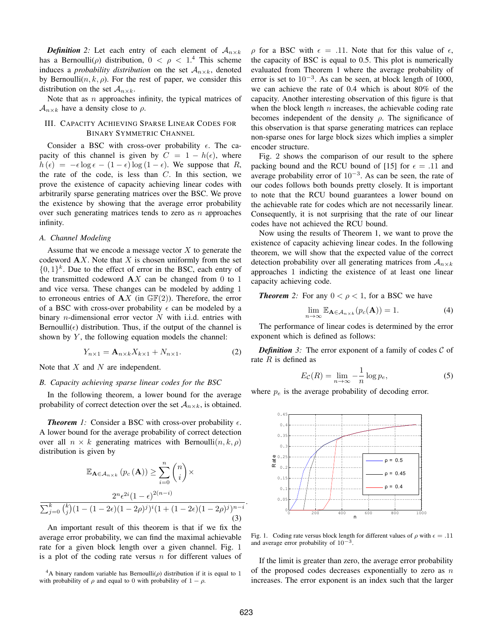*Definition* 2: Let each entry of each element of  $A_{n \times k}$ has a Bernoulli( $\rho$ ) distribution,  $0 < \rho < 1.4$  This scheme<br>induces a probability distribution on the set  $\Lambda$ , denoted induces a *probability distribution* on the set  $A_{n\times k}$ , denoted by Bernoulli $(n, k, \rho)$ . For the rest of paper, we consider this distribution on the set  $A_{n \times k}$ .

Note that as  $n$  approaches infinity, the typical matrices of  $A_{n\times k}$  have a density close to  $\rho$ .

# III. CAPACITY ACHIEVING SPARSE LINEAR CODES FOR BINARY SYMMETRIC CHANNEL

Consider a BSC with cross-over probability  $\epsilon$ . The capacity of this channel is given by  $C = 1 - h(\epsilon)$ , where  $h(\epsilon) = -\epsilon \log \epsilon - (1 - \epsilon) \log (1 - \epsilon)$ . We suppose that R, the rate of the code, is less than  $C$ . In this section, we prove the existence of capacity achieving linear codes with arbitrarily sparse generating matrices over the BSC. We prove the existence by showing that the average error probability over such generating matrices tends to zero as  $n$  approaches infinity.

# *A. Channel Modeling*

Assume that we encode a message vector  $X$  to generate the codeword  $AX$ . Note that  $X$  is chosen uniformly from the set  $\{0,1\}^k$ . Due to the effect of error in the BSC, each entry of the transmitted codeword **<sup>A</sup>**X can be changed from 0 to 1 and vice versa. These changes can be modeled by adding 1 to erroneous entries of  $AX$  (in  $\mathbb{GF}(2)$ ). Therefore, the error of a BSC with cross-over probability  $\epsilon$  can be modeled by a binary *n*-dimensional error vector  $N$  with i.i.d. entries with Bernoulli( $\epsilon$ ) distribution. Thus, if the output of the channel is shown by  $Y$ , the following equation models the channel:

$$
Y_{n\times 1} = \mathbf{A}_{n\times k} X_{k\times 1} + N_{n\times 1}.
$$
 (2)

Note that  $X$  and  $N$  are independent.

# *B. Capacity achieving sparse linear codes for the BSC*

In the following theorem, a lower bound for the average probability of correct detection over the set  $A_{n \times k}$ , is obtained.

*Theorem 1:* Consider a BSC with cross-over probability  $\epsilon$ . A lower bound for the average probability of correct detection over all  $n \times k$  generating matrices with Bernoulli $(n, k, \rho)$ distribution is given by

$$
\mathbb{E}_{\mathbf{A}\in\mathcal{A}_{n\times k}}\left(p_c\left(\mathbf{A}\right)\right) \ge \sum_{i=0}^n \binom{n}{i} \times
$$

$$
\frac{2^n \epsilon^{2i} (1-\epsilon)^{2(n-i)}}{\sum_{j=0}^k \binom{k}{j} (1-(1-2\epsilon)(1-2\rho)^j)^i (1+(1-2\epsilon)(1-2\rho)^j)^{n-i}}
$$
(3)

An important result of this theorem is that if we fix the average error probability, we can find the maximal achievable rate for a given block length over a given channel. Fig. 1 is a plot of the coding rate versus  $n$  for different values of

<sup>4</sup>A binary random variable has Bernoulli( $\rho$ ) distribution if it is equal to 1 with probability of  $\rho$  and equal to 0 with probability of  $1 - \rho$ .

 $ρ$  for a BSC with  $ε = .11$ . Note that for this value of  $ε$ , the capacity of BSC is equal to 0.5. This plot is numerically evaluated from Theorem 1 where the average probability of error is set to  $10^{-3}$ . As can be seen, at block length of 1000, we can achieve the rate of 0.4 which is about 80% of the capacity. Another interesting observation of this figure is that when the block length  $n$  increases, the achievable coding rate becomes independent of the density  $\rho$ . The significance of this observation is that sparse generating matrices can replace non-sparse ones for large block sizes which implies a simpler encoder structure.

Fig. 2 shows the comparison of our result to the sphere packing bound and the RCU bound of [15] for  $\epsilon = .11$  and average probability error of  $10^{-3}$ . As can be seen, the rate of our codes follows both bounds pretty closely. It is important to note that the RCU bound guarantees a lower bound on the achievable rate for codes which are not necessarily linear. Consequently, it is not surprising that the rate of our linear codes have not achieved the RCU bound.

Now using the results of Theorem 1, we want to prove the existence of capacity achieving linear codes. In the following theorem, we will show that the expected value of the correct detection probability over all generating matrices from  $A_{n \times k}$ approaches 1 indicting the existence of at least one linear capacity achieving code.

**Theorem** 2: For any  $0 < \rho < 1$ , for a BSC we have

$$
\lim_{n \to \infty} \mathbb{E}_{\mathbf{A} \in \mathcal{A}_{n \times k}}(p_c(\mathbf{A})) = 1.
$$
 (4)

The performance of linear codes is determined by the error exponent which is defined as follows:

**Definition** 3: The error exponent of a family of codes  $C$  of rate  $R$  is defined as

$$
E_{\mathcal{C}}(R) = \lim_{n \to \infty} -\frac{1}{n} \log p_e,
$$
 (5)

where  $p_e$  is the average probability of decoding error.



Fig. 1. Coding rate versus block length for different values of  $\rho$  with  $\epsilon = .11$ and average error probability of  $10^{-3}$ 

If the limit is greater than zero, the average error probability of the proposed codes decreases exponentially to zero as  $n$ increases. The error exponent is an index such that the larger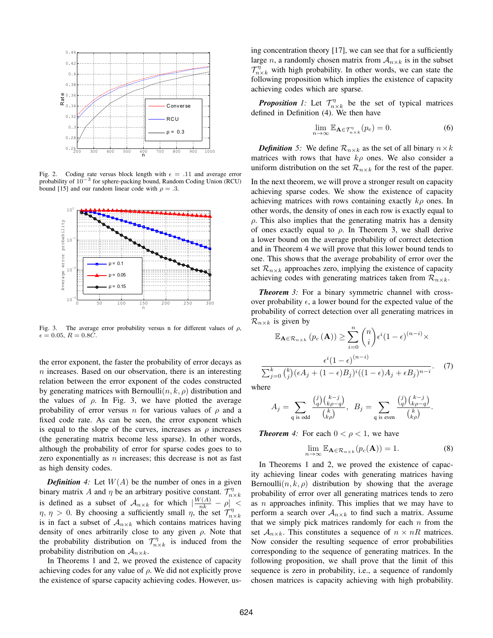

Fig. 2. Coding rate versus block length with  $\epsilon = .11$  and average error probability of  $10^{-3}$  for sphere-packing bound, Random Coding Union (RCU) bound [15] and our random linear code with  $\rho = .3$ .



Fig. 3. The average error probability versus n for different values of  $\rho$ ,  $\epsilon = 0.05, R = 0.8C.$ 

the error exponent, the faster the probability of error decays as  $n$  increases. Based on our observation, there is an interesting relation between the error exponent of the codes constructed by generating matrices with Bernoulli $(n, k, \rho)$  distribution and the values of  $\rho$ . In Fig. 3, we have plotted the average probability of error versus n for various values of  $\rho$  and a fixed code rate. As can be seen, the error exponent which is equal to the slope of the curves, increases as  $\rho$  increases (the generating matrix become less sparse). In other words, although the probability of error for sparse codes goes to to zero exponentially as  $n$  increases; this decrease is not as fast as high density codes.

*Definition* 4: Let  $W(A)$  be the number of ones in a given binary matrix A and  $\eta$  be an arbitrary positive constant.  $\overline{\mathcal{T}}_{n\times k}^{\eta}$ is defined as a subset of  $\mathcal{A}_{n \times k}$  for which  $\left| \frac{W(A)}{nk} - \rho \right| < n \geq 0$ . By choosing a sufficiently small n the set  $\mathcal{T}^{\eta}$  $\eta$ ,  $\eta > 0$ . By choosing a sufficiently small  $\eta$ , the set  $\mathcal{T}_{n \times k}^{n}$ is in fact a subset of  $A_{n\times k}$  which contains matrices having density of ones arbitrarily close to any given  $\rho$ . Note that the probability distribution on  $\mathcal{T}_{n\times k}^{\eta}$  is induced from the probability distribution on  $A_{n\times k}$ .

In Theorems 1 and 2, we proved the existence of capacity achieving codes for any value of  $\rho$ . We did not explicitly prove the existence of sparse capacity achieving codes. However, using concentration theory [17], we can see that for a sufficiently large *n*, a randomly chosen matrix from  $A_{n \times k}$  is in the subset  $\mathcal{T}_{n\times k}^{\eta}$  with high probability. In other words, we can state the following proposition which implies the existence of capacity achieving codes which are sparse.

**Proposition** 1: Let  $\mathcal{T}_{n \times k}^{\eta}$  be the set of typical matrices defined in Definition (4). We then have

$$
\lim_{n \to \infty} \mathbb{E}_{\mathbf{A} \in \mathcal{T}_{n \times k}^{\eta}}(p_e) = 0.
$$
 (6)

*Definition* 5: We define  $\mathcal{R}_{n \times k}$  as the set of all binary  $n \times k$ matrices with rows that have  $k\rho$  ones. We also consider a uniform distribution on the set  $\mathcal{R}_{n \times k}$  for the rest of the paper.

In the next theorem, we will prove a stronger result on capacity achieving sparse codes. We show the existence of capacity achieving matrices with rows containing exactly  $k\rho$  ones. In other words, the density of ones in each row is exactly equal to  $\rho$ . This also implies that the generating matrix has a density of ones exactly equal to  $\rho$ . In Theorem 3, we shall derive a lower bound on the average probability of correct detection and in Theorem 4 we will prove that this lower bound tends to one. This shows that the average probability of error over the set  $\mathcal{R}_{n \times k}$  approaches zero, implying the existence of capacity achieving codes with generating matrices taken from  $\mathcal{R}_{n \times k}$ .

*Theorem 3:* For a binary symmetric channel with crossover probability  $\epsilon$ , a lower bound for the expected value of the probability of correct detection over all generating matrices in  $\mathcal{R}_{n\times k}$  is given by

$$
\mathbb{E}_{\mathbf{A}\in\mathcal{R}_{n\times k}}\left(p_c\left(\mathbf{A}\right)\right) \ge \sum_{i=0}^n \binom{n}{i} \epsilon^i (1-\epsilon)^{(n-i)} \times \frac{\epsilon^i (1-\epsilon)^{(n-i)}}{\sum_{j=0}^k \binom{k}{j} (\epsilon A_j + (1-\epsilon) B_j)^i ((1-\epsilon) A_j + \epsilon B_j)^{n-i}}.
$$
 (7)

where

$$
A_j = \sum_{\text{q is odd}} \frac{\binom{j}{q} \binom{k-j}{k\rho - q}}{\binom{k}{k\rho}}, \ \ B_j = \sum_{\text{q is even}} \frac{\binom{j}{q} \binom{k-j}{k\rho - q}}{\binom{k}{k\rho}}.
$$

*Theorem 4:* For each  $0 < \rho < 1$ , we have

$$
\lim_{n \to \infty} \mathbb{E}_{\mathbf{A} \in \mathcal{R}_{n \times k}}(p_c(\mathbf{A})) = 1.
$$
 (8)

In Theorems 1 and 2, we proved the existence of capacity achieving linear codes with generating matrices having Bernoulli $(n, k, \rho)$  distribution by showing that the average probability of error over all generating matrices tends to zero as  $n$  approaches infinity. This implies that we may have to perform a search over  $A_{n \times k}$  to find such a matrix. Assume that we simply pick matrices randomly for each  $n$  from the set  $A_{n \times k}$ . This constitutes a sequence of  $n \times nR$  matrices. Now consider the resulting sequence of error probabilities corresponding to the sequence of generating matrices. In the following proposition, we shall prove that the limit of this sequence is zero in probability, i.e., a sequence of randomly chosen matrices is capacity achieving with high probability.